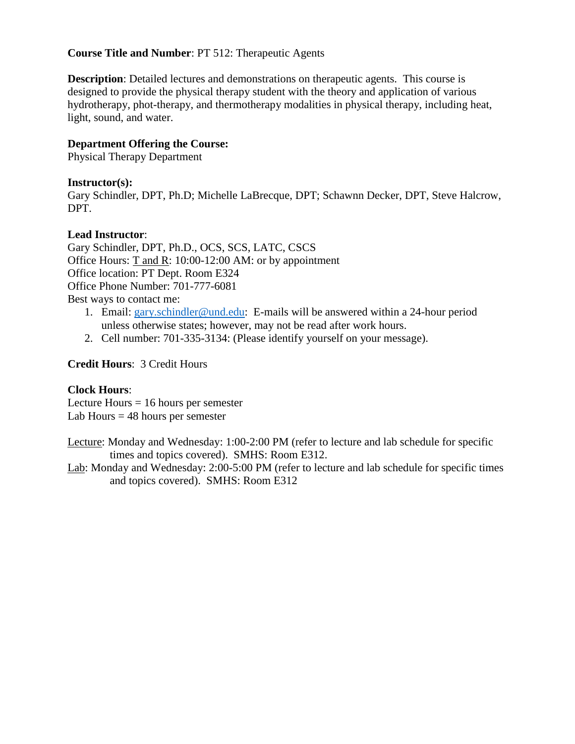## **Course Title and Number**: PT 512: Therapeutic Agents

**Description**: Detailed lectures and demonstrations on therapeutic agents. This course is designed to provide the physical therapy student with the theory and application of various hydrotherapy, phot-therapy, and thermotherapy modalities in physical therapy, including heat, light, sound, and water.

## **Department Offering the Course:**

Physical Therapy Department

## **Instructor(s):**

Gary Schindler, DPT, Ph.D; Michelle LaBrecque, DPT; Schawnn Decker, DPT, Steve Halcrow, DPT.

## **Lead Instructor**:

Gary Schindler, DPT, Ph.D., OCS, SCS, LATC, CSCS Office Hours: T and R: 10:00-12:00 AM: or by appointment Office location: PT Dept. Room E324 Office Phone Number: 701-777-6081 Best ways to contact me:

- 1. Email: [gary.schindler@und.edu:](mailto:gary.schindler@und.edu) E-mails will be answered within a 24-hour period unless otherwise states; however, may not be read after work hours.
- 2. Cell number: 701-335-3134: (Please identify yourself on your message).

## **Credit Hours**: 3 Credit Hours

## **Clock Hours**:

Lecture Hours  $= 16$  hours per semester Lab Hours  $= 48$  hours per semester

Lecture: Monday and Wednesday: 1:00-2:00 PM (refer to lecture and lab schedule for specific times and topics covered). SMHS: Room E312.

Lab: Monday and Wednesday: 2:00-5:00 PM (refer to lecture and lab schedule for specific times and topics covered). SMHS: Room E312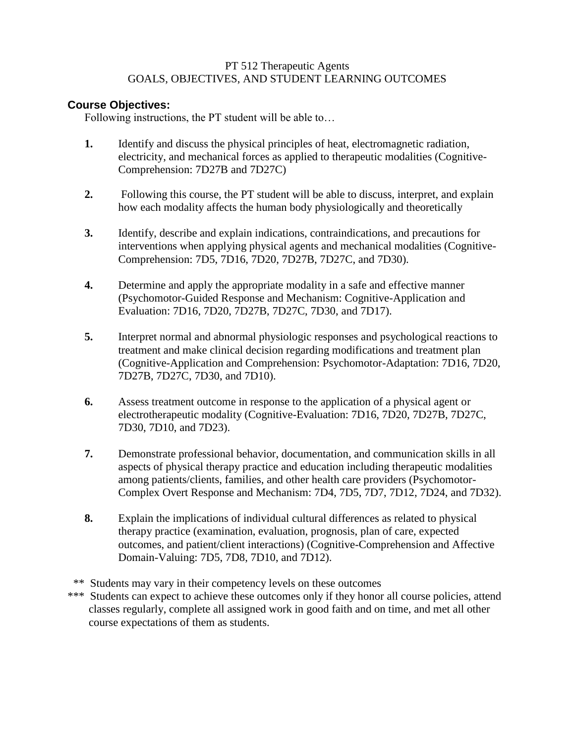## PT 512 Therapeutic Agents GOALS, OBJECTIVES, AND STUDENT LEARNING OUTCOMES

## **Course Objectives:**

Following instructions, the PT student will be able to…

- **1.** Identify and discuss the physical principles of heat, electromagnetic radiation, electricity, and mechanical forces as applied to therapeutic modalities (Cognitive-Comprehension: 7D27B and 7D27C)
- **2.** Following this course, the PT student will be able to discuss, interpret, and explain how each modality affects the human body physiologically and theoretically
- **3.** Identify, describe and explain indications, contraindications, and precautions for interventions when applying physical agents and mechanical modalities (Cognitive-Comprehension: 7D5, 7D16, 7D20, 7D27B, 7D27C, and 7D30).
- **4.** Determine and apply the appropriate modality in a safe and effective manner (Psychomotor-Guided Response and Mechanism: Cognitive-Application and Evaluation: 7D16, 7D20, 7D27B, 7D27C, 7D30, and 7D17).
- **5.** Interpret normal and abnormal physiologic responses and psychological reactions to treatment and make clinical decision regarding modifications and treatment plan (Cognitive-Application and Comprehension: Psychomotor-Adaptation: 7D16, 7D20, 7D27B, 7D27C, 7D30, and 7D10).
- **6.** Assess treatment outcome in response to the application of a physical agent or electrotherapeutic modality (Cognitive-Evaluation: 7D16, 7D20, 7D27B, 7D27C, 7D30, 7D10, and 7D23).
- **7.** Demonstrate professional behavior, documentation, and communication skills in all aspects of physical therapy practice and education including therapeutic modalities among patients/clients, families, and other health care providers (Psychomotor-Complex Overt Response and Mechanism: 7D4, 7D5, 7D7, 7D12, 7D24, and 7D32).
- **8.** Explain the implications of individual cultural differences as related to physical therapy practice (examination, evaluation, prognosis, plan of care, expected outcomes, and patient/client interactions) (Cognitive-Comprehension and Affective Domain-Valuing: 7D5, 7D8, 7D10, and 7D12).
- \*\* Students may vary in their competency levels on these outcomes
- \*\*\* Students can expect to achieve these outcomes only if they honor all course policies, attend classes regularly, complete all assigned work in good faith and on time, and met all other course expectations of them as students.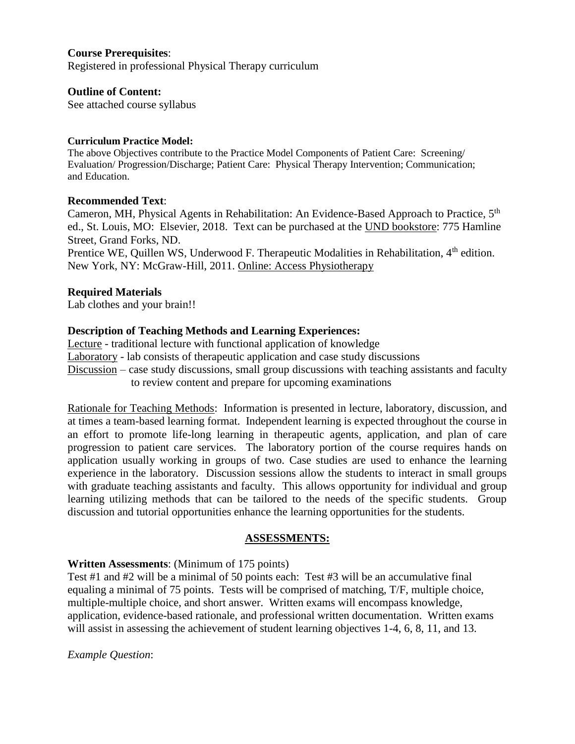## **Course Prerequisites**:

Registered in professional Physical Therapy curriculum

### **Outline of Content:**

See attached course syllabus

### **Curriculum Practice Model:**

The above Objectives contribute to the Practice Model Components of Patient Care: Screening/ Evaluation/ Progression/Discharge; Patient Care: Physical Therapy Intervention; Communication; and Education.

## **Recommended Text**:

Cameron, MH, Physical Agents in Rehabilitation: An Evidence-Based Approach to Practice, 5<sup>th</sup> ed., St. Louis, MO: Elsevier, 2018. Text can be purchased at the UND bookstore: 775 Hamline Street, Grand Forks, ND. Prentice WE, Quillen WS, Underwood F. Therapeutic Modalities in Rehabilitation, 4<sup>th</sup> edition.

## **Required Materials**

Lab clothes and your brain!!

## **Description of Teaching Methods and Learning Experiences:**

New York, NY: McGraw-Hill, 2011. Online: Access Physiotherapy

Lecture - traditional lecture with functional application of knowledge Laboratory - lab consists of therapeutic application and case study discussions Discussion – case study discussions, small group discussions with teaching assistants and faculty to review content and prepare for upcoming examinations

Rationale for Teaching Methods: Information is presented in lecture, laboratory, discussion, and at times a team-based learning format. Independent learning is expected throughout the course in an effort to promote life-long learning in therapeutic agents, application, and plan of care progression to patient care services. The laboratory portion of the course requires hands on application usually working in groups of two. Case studies are used to enhance the learning experience in the laboratory. Discussion sessions allow the students to interact in small groups with graduate teaching assistants and faculty. This allows opportunity for individual and group learning utilizing methods that can be tailored to the needs of the specific students. Group discussion and tutorial opportunities enhance the learning opportunities for the students.

## **ASSESSMENTS:**

## **Written Assessments**: (Minimum of 175 points)

Test #1 and #2 will be a minimal of 50 points each: Test #3 will be an accumulative final equaling a minimal of 75 points. Tests will be comprised of matching, T/F, multiple choice, multiple-multiple choice, and short answer. Written exams will encompass knowledge, application, evidence-based rationale, and professional written documentation. Written exams will assist in assessing the achievement of student learning objectives 1-4, 6, 8, 11, and 13.

## *Example Question*: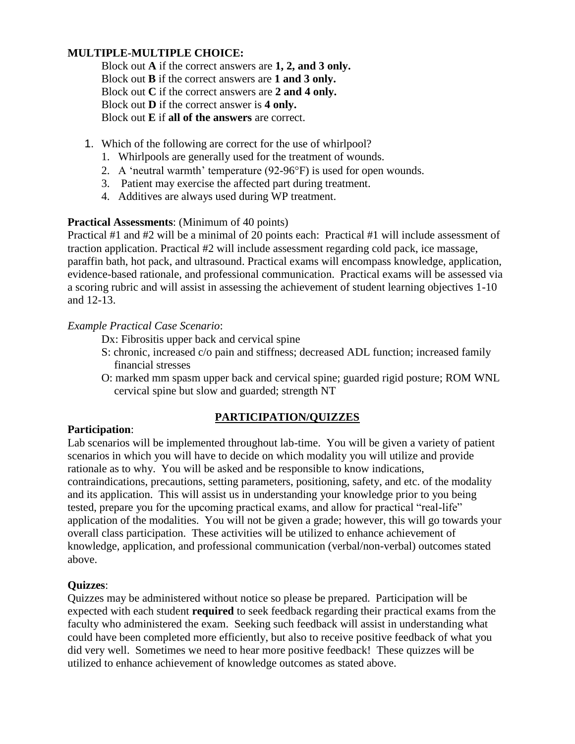## **MULTIPLE-MULTIPLE CHOICE:**

Block out **A** if the correct answers are **1, 2, and 3 only.** Block out **B** if the correct answers are **1 and 3 only.** Block out **C** if the correct answers are **2 and 4 only.** Block out **D** if the correct answer is **4 only.** Block out **E** if **all of the answers** are correct.

- 1. Which of the following are correct for the use of whirlpool?
	- 1. Whirlpools are generally used for the treatment of wounds.
	- 2. A 'neutral warmth' temperature (92-96°F) is used for open wounds.
	- 3. Patient may exercise the affected part during treatment.
	- 4. Additives are always used during WP treatment.

## **Practical Assessments**: (Minimum of 40 points)

Practical #1 and #2 will be a minimal of 20 points each: Practical #1 will include assessment of traction application. Practical #2 will include assessment regarding cold pack, ice massage, paraffin bath, hot pack, and ultrasound. Practical exams will encompass knowledge, application, evidence-based rationale, and professional communication. Practical exams will be assessed via a scoring rubric and will assist in assessing the achievement of student learning objectives 1-10 and 12-13.

## *Example Practical Case Scenario*:

Dx: Fibrositis upper back and cervical spine

- S: chronic, increased c/o pain and stiffness; decreased ADL function; increased family financial stresses
- O: marked mm spasm upper back and cervical spine; guarded rigid posture; ROM WNL cervical spine but slow and guarded; strength NT

## **PARTICIPATION/QUIZZES**

## **Participation**:

Lab scenarios will be implemented throughout lab-time. You will be given a variety of patient scenarios in which you will have to decide on which modality you will utilize and provide rationale as to why. You will be asked and be responsible to know indications, contraindications, precautions, setting parameters, positioning, safety, and etc. of the modality and its application. This will assist us in understanding your knowledge prior to you being tested, prepare you for the upcoming practical exams, and allow for practical "real-life" application of the modalities. You will not be given a grade; however, this will go towards your overall class participation. These activities will be utilized to enhance achievement of knowledge, application, and professional communication (verbal/non-verbal) outcomes stated above.

#### **Quizzes**:

Quizzes may be administered without notice so please be prepared. Participation will be expected with each student **required** to seek feedback regarding their practical exams from the faculty who administered the exam. Seeking such feedback will assist in understanding what could have been completed more efficiently, but also to receive positive feedback of what you did very well. Sometimes we need to hear more positive feedback! These quizzes will be utilized to enhance achievement of knowledge outcomes as stated above.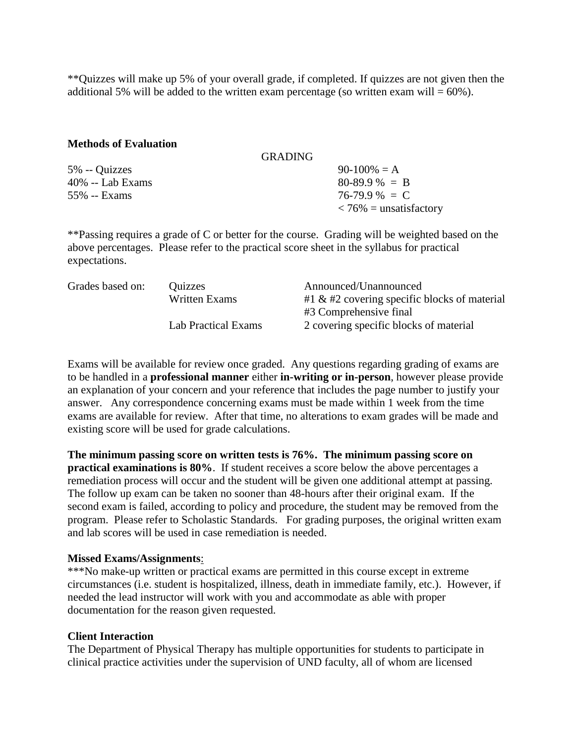\*\*Quizzes will make up 5% of your overall grade, if completed. If quizzes are not given then the additional 5% will be added to the written exam percentage (so written exam will =  $60\%$ ).

#### **Methods of Evaluation**

|                  | <b>GRADING</b>                         |  |
|------------------|----------------------------------------|--|
| 5% -- Quizzes    | $90-100\% = A$                         |  |
| 40% -- Lab Exams | $80-89.9\% = B$                        |  |
| 55% -- Exams     | $76-79.9\% = C$                        |  |
|                  | $\langle 76\% = \text{unsatisfactory}$ |  |

\*\*Passing requires a grade of C or better for the course. Grading will be weighted based on the above percentages. Please refer to the practical score sheet in the syllabus for practical expectations.

| Grades based on: | Quizzes             | Announced/Unannounced                           |
|------------------|---------------------|-------------------------------------------------|
|                  | Written Exams       | $#1 \& #2$ covering specific blocks of material |
|                  |                     | #3 Comprehensive final                          |
|                  | Lab Practical Exams | 2 covering specific blocks of material          |

Exams will be available for review once graded. Any questions regarding grading of exams are to be handled in a **professional manner** either **in-writing or in-person**, however please provide an explanation of your concern and your reference that includes the page number to justify your answer. Any correspondence concerning exams must be made within 1 week from the time exams are available for review. After that time, no alterations to exam grades will be made and existing score will be used for grade calculations.

**The minimum passing score on written tests is 76%. The minimum passing score on practical examinations is 80%**. If student receives a score below the above percentages a remediation process will occur and the student will be given one additional attempt at passing. The follow up exam can be taken no sooner than 48-hours after their original exam. If the second exam is failed, according to policy and procedure, the student may be removed from the program. Please refer to Scholastic Standards. For grading purposes, the original written exam and lab scores will be used in case remediation is needed.

#### **Missed Exams/Assignments**:

\*\*\*No make-up written or practical exams are permitted in this course except in extreme circumstances (i.e. student is hospitalized, illness, death in immediate family, etc.). However, if needed the lead instructor will work with you and accommodate as able with proper documentation for the reason given requested.

## **Client Interaction**

The Department of Physical Therapy has multiple opportunities for students to participate in clinical practice activities under the supervision of UND faculty, all of whom are licensed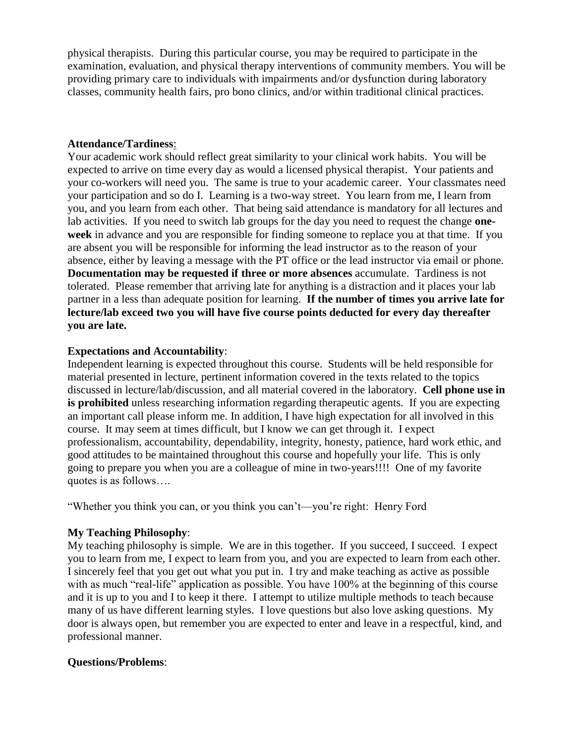physical therapists. During this particular course, you may be required to participate in the examination, evaluation, and physical therapy interventions of community members. You will be providing primary care to individuals with impairments and/or dysfunction during laboratory classes, community health fairs, pro bono clinics, and/or within traditional clinical practices.

## **Attendance/Tardiness**:

Your academic work should reflect great similarity to your clinical work habits. You will be expected to arrive on time every day as would a licensed physical therapist. Your patients and your co-workers will need you. The same is true to your academic career. Your classmates need your participation and so do I. Learning is a two-way street. You learn from me, I learn from you, and you learn from each other. That being said attendance is mandatory for all lectures and lab activities. If you need to switch lab groups for the day you need to request the change **oneweek** in advance and you are responsible for finding someone to replace you at that time. If you are absent you will be responsible for informing the lead instructor as to the reason of your absence, either by leaving a message with the PT office or the lead instructor via email or phone. **Documentation may be requested if three or more absences** accumulate. Tardiness is not tolerated. Please remember that arriving late for anything is a distraction and it places your lab partner in a less than adequate position for learning. **If the number of times you arrive late for lecture/lab exceed two you will have five course points deducted for every day thereafter you are late.** 

## **Expectations and Accountability**:

Independent learning is expected throughout this course. Students will be held responsible for material presented in lecture, pertinent information covered in the texts related to the topics discussed in lecture/lab/discussion, and all material covered in the laboratory. **Cell phone use in is prohibited** unless researching information regarding therapeutic agents. If you are expecting an important call please inform me. In addition, I have high expectation for all involved in this course. It may seem at times difficult, but I know we can get through it. I expect professionalism, accountability, dependability, integrity, honesty, patience, hard work ethic, and good attitudes to be maintained throughout this course and hopefully your life. This is only going to prepare you when you are a colleague of mine in two-years!!!! One of my favorite quotes is as follows….

"Whether you think you can, or you think you can't—you're right: Henry Ford

## **My Teaching Philosophy**:

My teaching philosophy is simple. We are in this together. If you succeed, I succeed. I expect you to learn from me, I expect to learn from you, and you are expected to learn from each other. I sincerely feel that you get out what you put in. I try and make teaching as active as possible with as much "real-life" application as possible. You have 100% at the beginning of this course and it is up to you and I to keep it there. I attempt to utilize multiple methods to teach because many of us have different learning styles. I love questions but also love asking questions. My door is always open, but remember you are expected to enter and leave in a respectful, kind, and professional manner.

## **Questions/Problems**: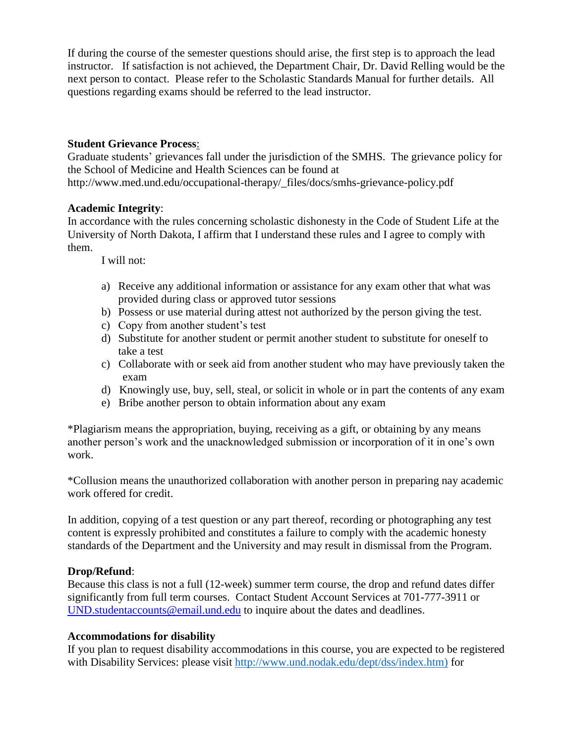If during the course of the semester questions should arise, the first step is to approach the lead instructor. If satisfaction is not achieved, the Department Chair, Dr. David Relling would be the next person to contact. Please refer to the Scholastic Standards Manual for further details. All questions regarding exams should be referred to the lead instructor.

## **Student Grievance Process**:

Graduate students' grievances fall under the jurisdiction of the SMHS. The grievance policy for the School of Medicine and Health Sciences can be found at http://www.med.und.edu/occupational-therapy/\_files/docs/smhs-grievance-policy.pdf

## **Academic Integrity**:

In accordance with the rules concerning scholastic dishonesty in the Code of Student Life at the University of North Dakota, I affirm that I understand these rules and I agree to comply with them.

I will not:

- a) Receive any additional information or assistance for any exam other that what was provided during class or approved tutor sessions
- b) Possess or use material during attest not authorized by the person giving the test.
- c) Copy from another student's test
- d) Substitute for another student or permit another student to substitute for oneself to take a test
- c) Collaborate with or seek aid from another student who may have previously taken the exam
- d) Knowingly use, buy, sell, steal, or solicit in whole or in part the contents of any exam
- e) Bribe another person to obtain information about any exam

\*Plagiarism means the appropriation, buying, receiving as a gift, or obtaining by any means another person's work and the unacknowledged submission or incorporation of it in one's own work.

\*Collusion means the unauthorized collaboration with another person in preparing nay academic work offered for credit.

In addition, copying of a test question or any part thereof, recording or photographing any test content is expressly prohibited and constitutes a failure to comply with the academic honesty standards of the Department and the University and may result in dismissal from the Program.

## **Drop/Refund**:

Because this class is not a full (12-week) summer term course, the drop and refund dates differ significantly from full term courses. Contact Student Account Services at 701-777-3911 or [UND.studentaccounts@email.und.edu](mailto:UND.studentaccounts@email.und.edu) to inquire about the dates and deadlines.

## **Accommodations for disability**

If you plan to request disability accommodations in this course, you are expected to be registered with Disability Services: please visit [http://www.und.nodak.edu/dept/dss/index.htm\)](http://www.und.nodak.edu/dept/dss/index.htm)) for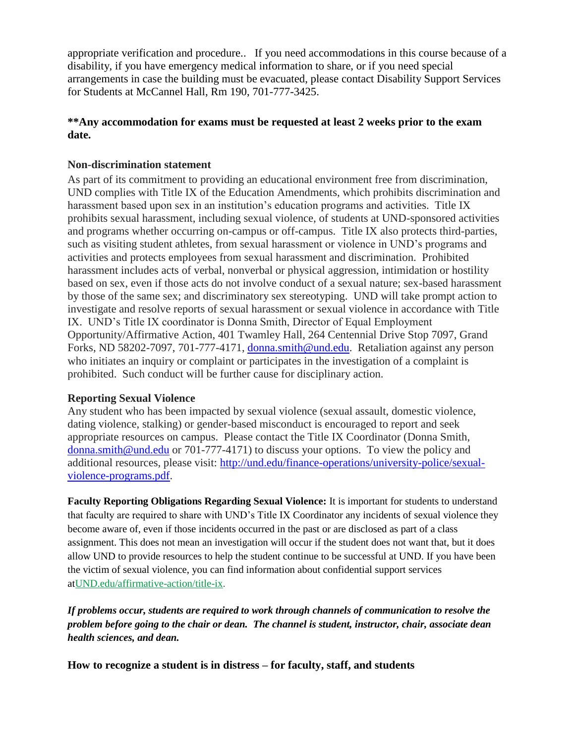appropriate verification and procedure.. If you need accommodations in this course because of a disability, if you have emergency medical information to share, or if you need special arrangements in case the building must be evacuated, please contact Disability Support Services for Students at McCannel Hall, Rm 190, 701-777-3425.

## **\*\*Any accommodation for exams must be requested at least 2 weeks prior to the exam date.**

## **Non-discrimination statement**

As part of its commitment to providing an educational environment free from discrimination, UND complies with Title IX of the Education Amendments, which prohibits discrimination and harassment based upon sex in an institution's education programs and activities. Title IX prohibits sexual harassment, including sexual violence, of students at UND-sponsored activities and programs whether occurring on-campus or off-campus. Title IX also protects third-parties, such as visiting student athletes, from sexual harassment or violence in UND's programs and activities and protects employees from sexual harassment and discrimination. Prohibited harassment includes acts of verbal, nonverbal or physical aggression, intimidation or hostility based on sex, even if those acts do not involve conduct of a sexual nature; sex-based harassment by those of the same sex; and discriminatory sex stereotyping. UND will take prompt action to investigate and resolve reports of sexual harassment or sexual violence in accordance with Title IX. UND's Title IX coordinator is Donna Smith, Director of Equal Employment Opportunity/Affirmative Action, 401 Twamley Hall, 264 Centennial Drive Stop 7097, Grand Forks, ND 58202-7097, 701-777-4171, [donna.smith@und.edu.](mailto:donna.smith@und.edu) Retaliation against any person who initiates an inquiry or complaint or participates in the investigation of a complaint is prohibited. Such conduct will be further cause for disciplinary action.

## **Reporting Sexual Violence**

Any student who has been impacted by sexual violence (sexual assault, domestic violence, dating violence, stalking) or gender-based misconduct is encouraged to report and seek appropriate resources on campus. Please contact the Title IX Coordinator (Donna Smith, [donna.smith@und.edu](mailto:donna.smith@und.edu) or 701-777-4171) to discuss your options. To view the policy and additional resources, please visit: [http://und.edu/finance-operations/university-police/sexual](http://und.edu/finance-operations/university-police/sexual-violence-programs.pdf)[violence-programs.pdf.](http://und.edu/finance-operations/university-police/sexual-violence-programs.pdf)

**Faculty Reporting Obligations Regarding Sexual Violence:** It is important for students to understand that faculty are required to share with UND's Title IX Coordinator any incidents of sexual violence they become aware of, even if those incidents occurred in the past or are disclosed as part of a class assignment. This does not mean an investigation will occur if the student does not want that, but it does allow UND to provide resources to help the student continue to be successful at UND. If you have been the victim of sexual violence, you can find information about confidential support services a[tUND.edu/affirmative-action/title-ix.](http://und.edu/affirmative-action/title-ix/index.cfm)

*If problems occur, students are required to work through channels of communication to resolve the problem before going to the chair or dean. The channel is student, instructor, chair, associate dean health sciences, and dean.*

**How to recognize a student is in distress – for faculty, staff, and students**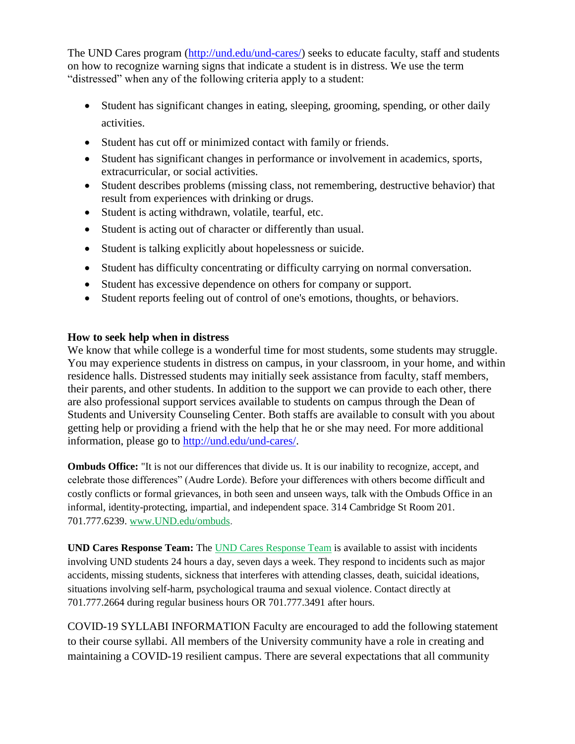The UND Cares program [\(http://und.edu/und-cares/\)](http://und.edu/und-cares/) seeks to educate faculty, staff and students on how to recognize warning signs that indicate a student is in distress. We use the term "distressed" when any of the following criteria apply to a student:

- Student has significant changes in eating, sleeping, grooming, spending, or other daily activities.
- Student has cut off or minimized contact with family or friends.
- Student has significant changes in performance or involvement in academics, sports, extracurricular, or social activities.
- Student describes problems (missing class, not remembering, destructive behavior) that result from experiences with drinking or drugs.
- Student is acting withdrawn, volatile, tearful, etc.
- Student is acting out of character or differently than usual.
- Student is talking explicitly about hopelessness or suicide.
- Student has difficulty concentrating or difficulty carrying on normal conversation.
- Student has excessive dependence on others for company or support.
- Student reports feeling out of control of one's emotions, thoughts, or behaviors.

## **How to seek help when in distress**

We know that while college is a wonderful time for most students, some students may struggle. You may experience students in distress on campus, in your classroom, in your home, and within residence halls. Distressed students may initially seek assistance from faculty, staff members, their parents, and other students. In addition to the support we can provide to each other, there are also professional support services available to students on campus through the Dean of Students and University Counseling Center. Both staffs are available to consult with you about getting help or providing a friend with the help that he or she may need. For more additional information, please go to [http://und.edu/und-cares/.](http://und.edu/und-cares/)

**Ombuds Office:** "It is not our differences that divide us. It is our inability to recognize, accept, and celebrate those differences" (Audre Lorde). Before your differences with others become difficult and costly conflicts or formal grievances, in both seen and unseen ways, talk with the Ombuds Office in an informal, identity-protecting, impartial, and independent space. 314 Cambridge St Room 201. 701.777.6239. [www.UND.edu/ombuds.](http://www.und.edu/ombuds)

**UND Cares Response Team:** Th[e UND Cares Response Team](http://und.edu/student-affairs/student-rights-responsibilities/care-team.cfm) is available to assist with incidents involving UND students 24 hours a day, seven days a week. They respond to incidents such as major accidents, missing students, sickness that interferes with attending classes, death, suicidal ideations, situations involving self-harm, psychological trauma and sexual violence. Contact directly at 701.777.2664 during regular business hours OR 701.777.3491 after hours.

COVID-19 SYLLABI INFORMATION Faculty are encouraged to add the following statement to their course syllabi. All members of the University community have a role in creating and maintaining a COVID-19 resilient campus. There are several expectations that all community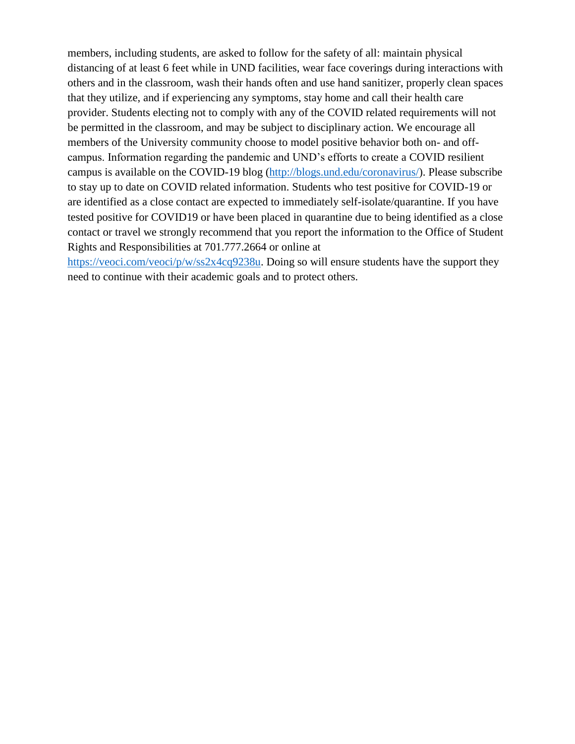members, including students, are asked to follow for the safety of all: maintain physical distancing of at least 6 feet while in UND facilities, wear face coverings during interactions with others and in the classroom, wash their hands often and use hand sanitizer, properly clean spaces that they utilize, and if experiencing any symptoms, stay home and call their health care provider. Students electing not to comply with any of the COVID related requirements will not be permitted in the classroom, and may be subject to disciplinary action. We encourage all members of the University community choose to model positive behavior both on- and offcampus. Information regarding the pandemic and UND's efforts to create a COVID resilient campus is available on the COVID-19 blog [\(http://blogs.und.edu/coronavirus/\)](http://blogs.und.edu/coronavirus/). Please subscribe to stay up to date on COVID related information. Students who test positive for COVID-19 or are identified as a close contact are expected to immediately self-isolate/quarantine. If you have tested positive for COVID19 or have been placed in quarantine due to being identified as a close contact or travel we strongly recommend that you report the information to the Office of Student Rights and Responsibilities at 701.777.2664 or online at

[https://veoci.com/veoci/p/w/ss2x4cq9238u.](https://veoci.com/veoci/p/w/ss2x4cq9238u) Doing so will ensure students have the support they need to continue with their academic goals and to protect others.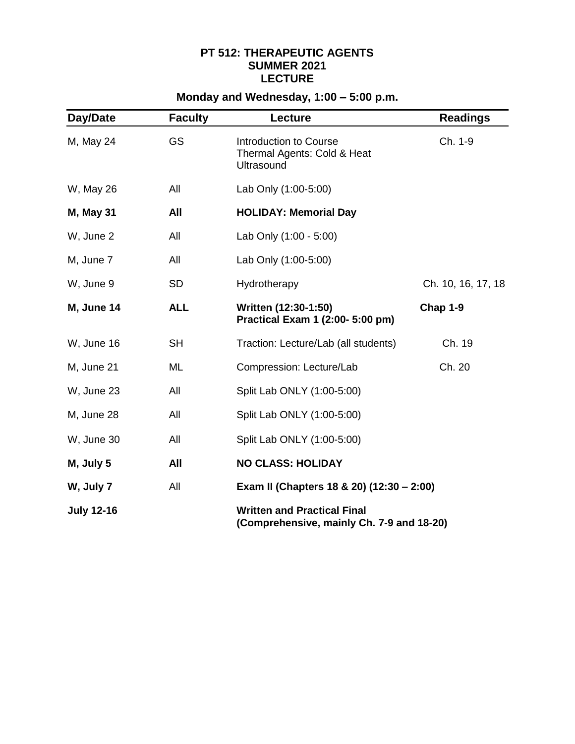## **PT 512: THERAPEUTIC AGENTS SUMMER 2021 LECTURE**

# **Monday and Wednesday, 1:00 – 5:00 p.m.**

| Day/Date          | <b>Faculty</b> | Lecture                                                                         | <b>Readings</b>    |
|-------------------|----------------|---------------------------------------------------------------------------------|--------------------|
| M, May 24         | <b>GS</b>      | Introduction to Course<br>Thermal Agents: Cold & Heat<br><b>Ultrasound</b>      | Ch. 1-9            |
| W, May 26         | All            | Lab Only (1:00-5:00)                                                            |                    |
| <b>M, May 31</b>  | All            | <b>HOLIDAY: Memorial Day</b>                                                    |                    |
| W, June 2         | All            | Lab Only (1:00 - 5:00)                                                          |                    |
| M, June 7         | All            | Lab Only (1:00-5:00)                                                            |                    |
| W, June 9         | <b>SD</b>      | Hydrotherapy                                                                    | Ch. 10, 16, 17, 18 |
| M, June 14        | <b>ALL</b>     | Written (12:30-1:50)<br>Practical Exam 1 (2:00- 5:00 pm)                        | Chap 1-9           |
| W, June 16        | <b>SH</b>      | Traction: Lecture/Lab (all students)                                            | Ch. 19             |
| M, June 21        | ML             | Compression: Lecture/Lab                                                        | Ch. 20             |
| W, June 23        | All            | Split Lab ONLY (1:00-5:00)                                                      |                    |
| M, June 28        | All            | Split Lab ONLY (1:00-5:00)                                                      |                    |
| W, June 30        | All            | Split Lab ONLY (1:00-5:00)                                                      |                    |
| M, July 5         | All            | <b>NO CLASS: HOLIDAY</b>                                                        |                    |
| W, July 7         | All            | Exam II (Chapters 18 & 20) (12:30 - 2:00)                                       |                    |
| <b>July 12-16</b> |                | <b>Written and Practical Final</b><br>(Comprehensive, mainly Ch. 7-9 and 18-20) |                    |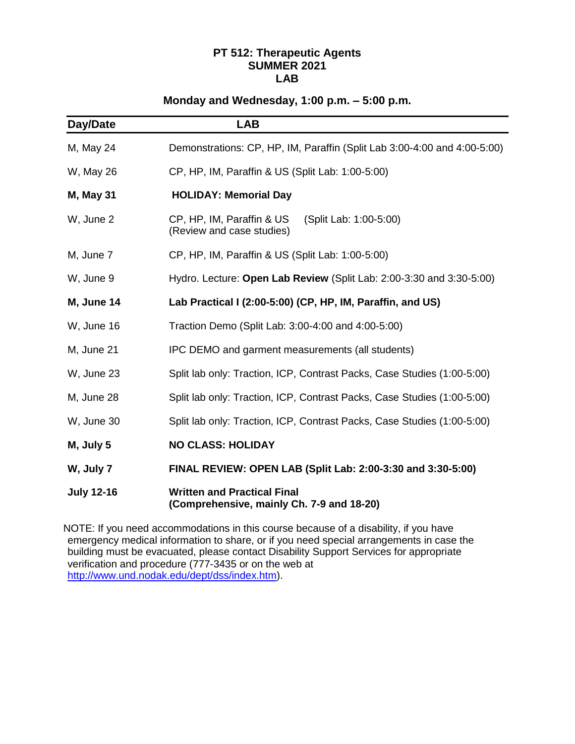## **PT 512: Therapeutic Agents SUMMER 2021 LAB**

## **Monday and Wednesday, 1:00 p.m. – 5:00 p.m.**

| Day/Date          | <b>LAB</b>                                                                       |  |  |
|-------------------|----------------------------------------------------------------------------------|--|--|
| M, May 24         | Demonstrations: CP, HP, IM, Paraffin (Split Lab 3:00-4:00 and 4:00-5:00)         |  |  |
| W, May 26         | CP, HP, IM, Paraffin & US (Split Lab: 1:00-5:00)                                 |  |  |
| <b>M, May 31</b>  | <b>HOLIDAY: Memorial Day</b>                                                     |  |  |
| W, June 2         | CP, HP, IM, Paraffin & US<br>(Split Lab: 1:00-5:00)<br>(Review and case studies) |  |  |
| M, June 7         | CP, HP, IM, Paraffin & US (Split Lab: 1:00-5:00)                                 |  |  |
| W, June 9         | Hydro. Lecture: Open Lab Review (Split Lab: 2:00-3:30 and 3:30-5:00)             |  |  |
| M, June 14        | Lab Practical I (2:00-5:00) (CP, HP, IM, Paraffin, and US)                       |  |  |
| W, June 16        | Traction Demo (Split Lab: 3:00-4:00 and 4:00-5:00)                               |  |  |
| M, June 21        | IPC DEMO and garment measurements (all students)                                 |  |  |
| W, June 23        | Split lab only: Traction, ICP, Contrast Packs, Case Studies (1:00-5:00)          |  |  |
| M, June 28        | Split lab only: Traction, ICP, Contrast Packs, Case Studies (1:00-5:00)          |  |  |
| W, June 30        | Split lab only: Traction, ICP, Contrast Packs, Case Studies (1:00-5:00)          |  |  |
| M, July 5         | <b>NO CLASS: HOLIDAY</b>                                                         |  |  |
| W, July 7         | FINAL REVIEW: OPEN LAB (Split Lab: 2:00-3:30 and 3:30-5:00)                      |  |  |
| <b>July 12-16</b> | <b>Written and Practical Final</b><br>(Comprehensive, mainly Ch. 7-9 and 18-20)  |  |  |

NOTE: If you need accommodations in this course because of a disability, if you have emergency medical information to share, or if you need special arrangements in case the building must be evacuated, please contact Disability Support Services for appropriate verification and procedure (777-3435 or on the web at [http://www.und.nodak.edu/dept/dss/index.htm\)](http://www.und.nodak.edu/dept/dss/index.htm).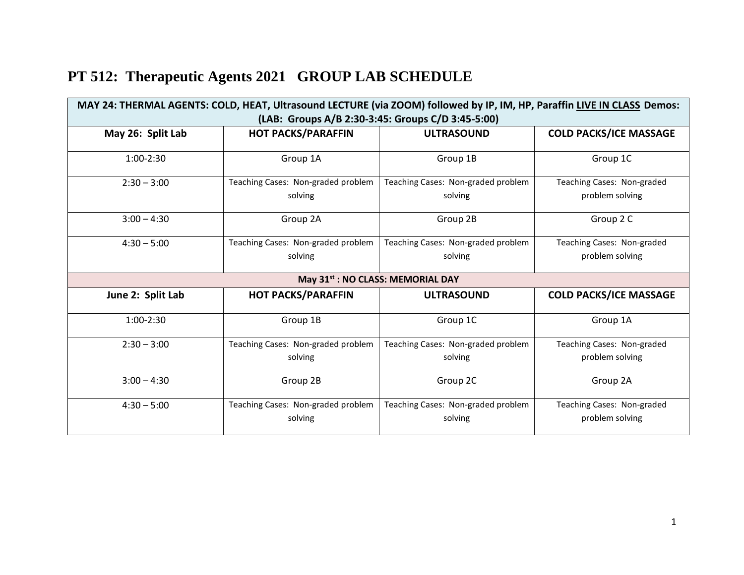|  | PT 512: Therapeutic Agents 2021 GROUP LAB SCHEDULE |
|--|----------------------------------------------------|
|  |                                                    |

| MAY 24: THERMAL AGENTS: COLD, HEAT, Ultrasound LECTURE (via ZOOM) followed by IP, IM, HP, Paraffin LIVE IN CLASS Demos:<br>(LAB: Groups A/B 2:30-3:45: Groups C/D 3:45-5:00) |                                               |                                               |                                               |  |
|------------------------------------------------------------------------------------------------------------------------------------------------------------------------------|-----------------------------------------------|-----------------------------------------------|-----------------------------------------------|--|
| May 26: Split Lab                                                                                                                                                            | <b>HOT PACKS/PARAFFIN</b>                     | <b>ULTRASOUND</b>                             | <b>COLD PACKS/ICE MASSAGE</b>                 |  |
| $1:00-2:30$                                                                                                                                                                  | Group 1A                                      | Group 1B                                      | Group 1C                                      |  |
| $2:30 - 3:00$                                                                                                                                                                | Teaching Cases: Non-graded problem<br>solving | Teaching Cases: Non-graded problem<br>solving | Teaching Cases: Non-graded<br>problem solving |  |
| $3:00 - 4:30$                                                                                                                                                                | Group 2A                                      | Group 2B                                      | Group 2 C                                     |  |
| $4:30 - 5:00$                                                                                                                                                                | Teaching Cases: Non-graded problem<br>solving | Teaching Cases: Non-graded problem<br>solving | Teaching Cases: Non-graded<br>problem solving |  |
|                                                                                                                                                                              | May 31st : NO CLASS: MEMORIAL DAY             |                                               |                                               |  |
| June 2: Split Lab                                                                                                                                                            | <b>HOT PACKS/PARAFFIN</b>                     | <b>ULTRASOUND</b>                             | <b>COLD PACKS/ICE MASSAGE</b>                 |  |
| $1:00-2:30$                                                                                                                                                                  | Group 1B                                      | Group 1C                                      | Group 1A                                      |  |
| $2:30 - 3:00$                                                                                                                                                                | Teaching Cases: Non-graded problem<br>solving | Teaching Cases: Non-graded problem<br>solving | Teaching Cases: Non-graded<br>problem solving |  |
| $3:00 - 4:30$                                                                                                                                                                | Group 2B                                      | Group 2C                                      | Group 2A                                      |  |
| $4:30 - 5:00$                                                                                                                                                                | Teaching Cases: Non-graded problem<br>solving | Teaching Cases: Non-graded problem<br>solving | Teaching Cases: Non-graded<br>problem solving |  |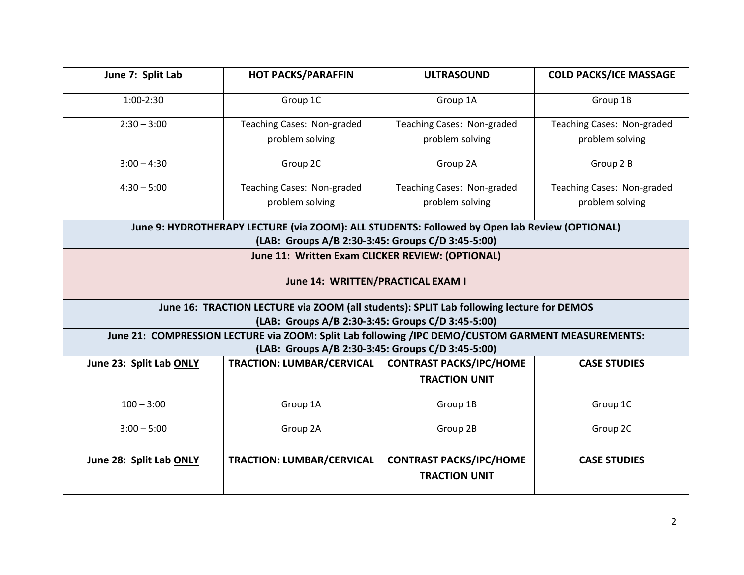| June 7: Split Lab                 | <b>HOT PACKS/PARAFFIN</b>                                                                                                                     | <b>ULTRASOUND</b>              | <b>COLD PACKS/ICE MASSAGE</b> |
|-----------------------------------|-----------------------------------------------------------------------------------------------------------------------------------------------|--------------------------------|-------------------------------|
| $1:00-2:30$                       | Group 1C                                                                                                                                      | Group 1A                       | Group 1B                      |
| $2:30 - 3:00$                     | Teaching Cases: Non-graded                                                                                                                    | Teaching Cases: Non-graded     | Teaching Cases: Non-graded    |
|                                   | problem solving                                                                                                                               | problem solving                | problem solving               |
| $3:00 - 4:30$                     | Group 2C                                                                                                                                      | Group 2A                       | Group 2 B                     |
| $4:30 - 5:00$                     | Teaching Cases: Non-graded                                                                                                                    | Teaching Cases: Non-graded     | Teaching Cases: Non-graded    |
|                                   | problem solving                                                                                                                               | problem solving                | problem solving               |
|                                   | June 9: HYDROTHERAPY LECTURE (via ZOOM): ALL STUDENTS: Followed by Open lab Review (OPTIONAL)                                                 |                                |                               |
|                                   | (LAB: Groups A/B 2:30-3:45: Groups C/D 3:45-5:00)                                                                                             |                                |                               |
|                                   | June 11: Written Exam CLICKER REVIEW: (OPTIONAL)                                                                                              |                                |                               |
| June 14: WRITTEN/PRACTICAL EXAM I |                                                                                                                                               |                                |                               |
|                                   | June 16: TRACTION LECTURE via ZOOM (all students): SPLIT Lab following lecture for DEMOS<br>(LAB: Groups A/B 2:30-3:45: Groups C/D 3:45-5:00) |                                |                               |
|                                   | June 21: COMPRESSION LECTURE via ZOOM: Split Lab following /IPC DEMO/CUSTOM GARMENT MEASUREMENTS:                                             |                                |                               |
|                                   | (LAB: Groups A/B 2:30-3:45: Groups C/D 3:45-5:00)                                                                                             |                                |                               |
| June 23: Split Lab ONLY           | TRACTION: LUMBAR/CERVICAL                                                                                                                     | <b>CONTRAST PACKS/IPC/HOME</b> | <b>CASE STUDIES</b>           |
|                                   |                                                                                                                                               | <b>TRACTION UNIT</b>           |                               |
| $100 - 3:00$                      | Group 1A                                                                                                                                      | Group 1B                       | Group 1C                      |
| $3:00 - 5:00$                     | Group 2A                                                                                                                                      | Group 2B                       | Group 2C                      |
| June 28: Split Lab ONLY           | <b>TRACTION: LUMBAR/CERVICAL</b>                                                                                                              | <b>CONTRAST PACKS/IPC/HOME</b> | <b>CASE STUDIES</b>           |
|                                   |                                                                                                                                               | <b>TRACTION UNIT</b>           |                               |